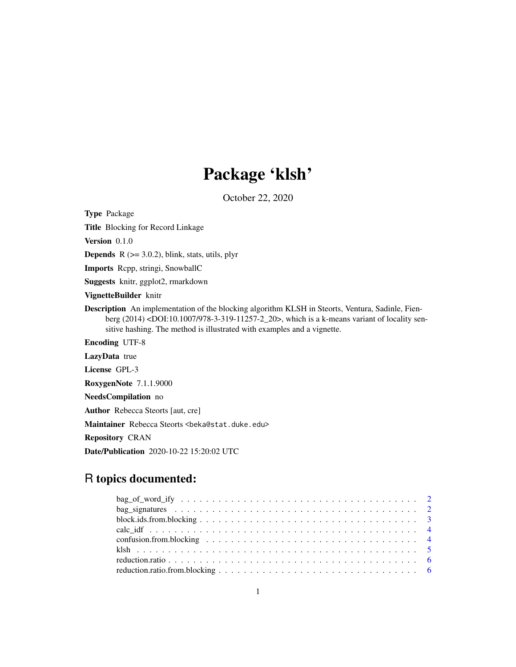## Package 'klsh'

October 22, 2020

Type Package Title Blocking for Record Linkage Version 0.1.0 **Depends**  $R$  ( $>= 3.0.2$ ), blink, stats, utils, plyr Imports Rcpp, stringi, SnowballC Suggests knitr, ggplot2, rmarkdown VignetteBuilder knitr Description An implementation of the blocking algorithm KLSH in Steorts, Ventura, Sadinle, Fienberg (2014) <DOI:10.1007/978-3-319-11257-2\_20>, which is a k-means variant of locality sensitive hashing. The method is illustrated with examples and a vignette. Encoding UTF-8 LazyData true License GPL-3 RoxygenNote 7.1.1.9000 NeedsCompilation no Author Rebecca Steorts [aut, cre] Maintainer Rebecca Steorts <br/>beka@stat.duke.edu> Repository CRAN Date/Publication 2020-10-22 15:20:02 UTC

## R topics documented: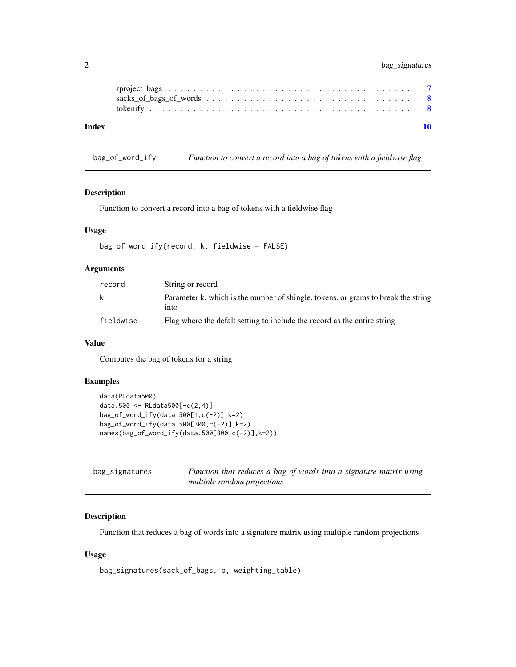## <span id="page-1-0"></span>2 bag\_signatures

| Index |  |  |  |  |  |  |  |  |  |  |  |  |  |  |  |  |  |  |
|-------|--|--|--|--|--|--|--|--|--|--|--|--|--|--|--|--|--|--|
|       |  |  |  |  |  |  |  |  |  |  |  |  |  |  |  |  |  |  |

#### bag\_of\_word\_ify *Function to convert a record into a bag of tokens with a fieldwise flag*

#### Description

Function to convert a record into a bag of tokens with a fieldwise flag

#### Usage

```
bag_of_word_ify(record, k, fieldwise = FALSE)
```
### Arguments

| record    | String or record                                                                          |
|-----------|-------------------------------------------------------------------------------------------|
| k         | Parameter k, which is the number of shingle, tokens, or grams to break the string<br>into |
| fieldwise | Flag where the defalt setting to include the record as the entire string                  |

## Value

Computes the bag of tokens for a string

## Examples

```
data(RLdata500)
data.500 <- RLdata500[-c(2,4)]
bag_of_word_ify(data.500[1,c(-2)],k=2)
bag_of_word_ify(data.500[300,c(-2)],k=2)
names(bag_of_word_ify(data.500[300,c(-2)],k=2))
```

| bag_signatures | Function that reduces a bag of words into a signature matrix using |
|----------------|--------------------------------------------------------------------|
|                | multiple random projections                                        |

## Description

Function that reduces a bag of words into a signature matrix using multiple random projections

#### Usage

```
bag_signatures(sack_of_bags, p, weighting_table)
```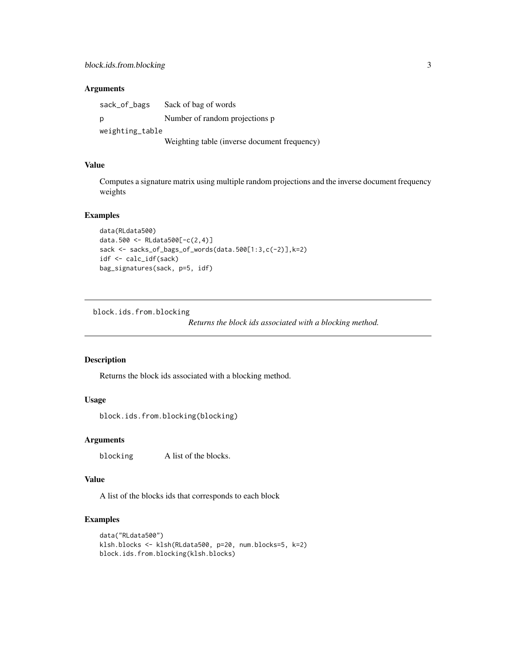#### <span id="page-2-0"></span>**Arguments**

sack\_of\_bags Sack of bag of words p Number of random projections p weighting\_table Weighting table (inverse document frequency)

#### Value

Computes a signature matrix using multiple random projections and the inverse document frequency weights

#### Examples

```
data(RLdata500)
data.500 <- RLdata500[-c(2,4)]
sack <- sacks_of_bags_of_words(data.500[1:3,c(-2)],k=2)
idf <- calc_idf(sack)
bag_signatures(sack, p=5, idf)
```
block.ids.from.blocking

*Returns the block ids associated with a blocking method.*

#### Description

Returns the block ids associated with a blocking method.

#### Usage

block.ids.from.blocking(blocking)

#### Arguments

blocking A list of the blocks.

#### Value

A list of the blocks ids that corresponds to each block

## Examples

```
data("RLdata500")
klsh.blocks <- klsh(RLdata500, p=20, num.blocks=5, k=2)
block.ids.from.blocking(klsh.blocks)
```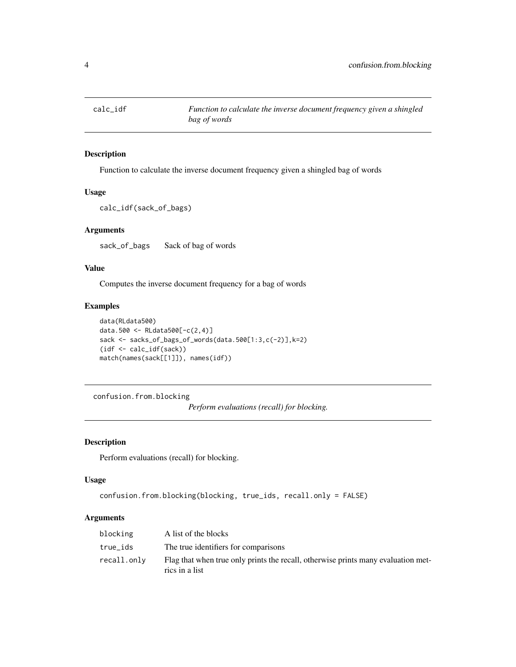<span id="page-3-0"></span>

## Description

Function to calculate the inverse document frequency given a shingled bag of words

#### Usage

```
calc_idf(sack_of_bags)
```
#### Arguments

sack\_of\_bags Sack of bag of words

## Value

Computes the inverse document frequency for a bag of words

## Examples

```
data(RLdata500)
data.500 <- RLdata500[-c(2,4)]
sack <- sacks_of_bags_of_words(data.500[1:3,c(-2)],k=2)
(idf <- calc_idf(sack))
match(names(sack[[1]]), names(idf))
```
confusion.from.blocking

*Perform evaluations (recall) for blocking.*

#### Description

Perform evaluations (recall) for blocking.

#### Usage

```
confusion.from.blocking(blocking, true_ids, recall.only = FALSE)
```
#### Arguments

| blocking    | A list of the blocks                                                                                |
|-------------|-----------------------------------------------------------------------------------------------------|
| true_ids    | The true identifiers for comparisons                                                                |
| recall.only | Flag that when true only prints the recall, otherwise prints many evaluation met-<br>rics in a list |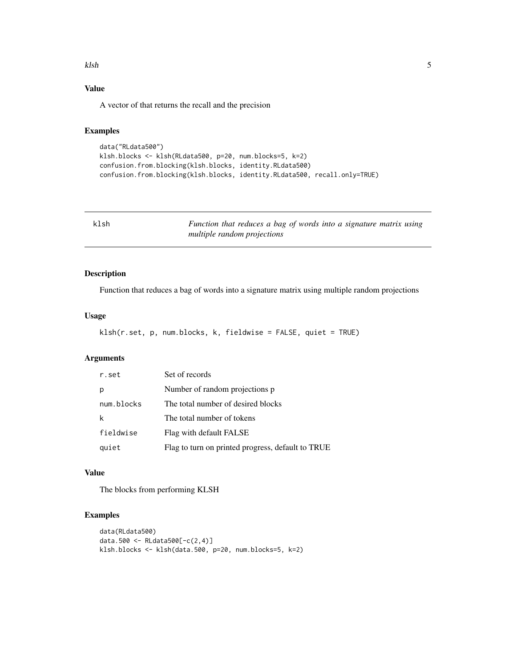#### <span id="page-4-0"></span>klsh 5

## Value

A vector of that returns the recall and the precision

## Examples

```
data("RLdata500")
klsh.blocks <- klsh(RLdata500, p=20, num.blocks=5, k=2)
confusion.from.blocking(klsh.blocks, identity.RLdata500)
confusion.from.blocking(klsh.blocks, identity.RLdata500, recall.only=TRUE)
```
klsh *Function that reduces a bag of words into a signature matrix using multiple random projections*

## Description

Function that reduces a bag of words into a signature matrix using multiple random projections

#### Usage

```
klsh(r.set, p, num.blocks, k, fieldwise = FALSE, quiet = TRUE)
```
#### Arguments

| r.set      | Set of records                                    |
|------------|---------------------------------------------------|
| р          | Number of random projections p                    |
| num.blocks | The total number of desired blocks                |
| k          | The total number of tokens                        |
| fieldwise  | Flag with default FALSE                           |
| quiet      | Flag to turn on printed progress, default to TRUE |

## Value

The blocks from performing KLSH

## Examples

```
data(RLdata500)
data.500 <- RLdata500[-c(2,4)]
klsh.blocks <- klsh(data.500, p=20, num.blocks=5, k=2)
```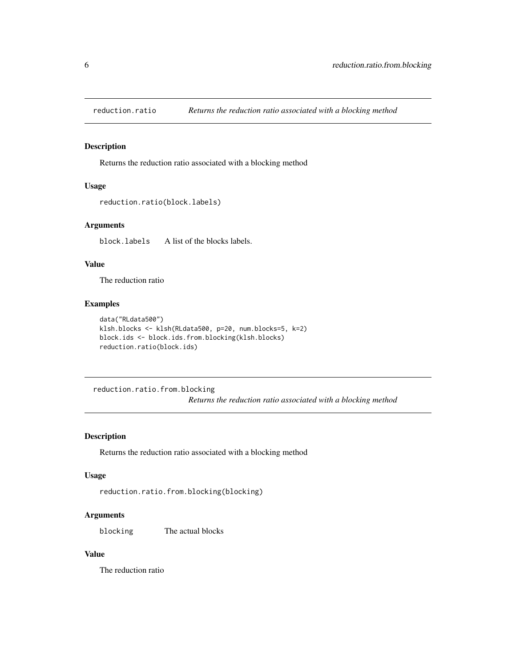<span id="page-5-0"></span>

## Description

Returns the reduction ratio associated with a blocking method

## Usage

```
reduction.ratio(block.labels)
```
## Arguments

block.labels A list of the blocks labels.

## Value

The reduction ratio

## Examples

```
data("RLdata500")
klsh.blocks <- klsh(RLdata500, p=20, num.blocks=5, k=2)
block.ids <- block.ids.from.blocking(klsh.blocks)
reduction.ratio(block.ids)
```
reduction.ratio.from.blocking

*Returns the reduction ratio associated with a blocking method*

## Description

Returns the reduction ratio associated with a blocking method

## Usage

```
reduction.ratio.from.blocking(blocking)
```
## Arguments

blocking The actual blocks

## Value

The reduction ratio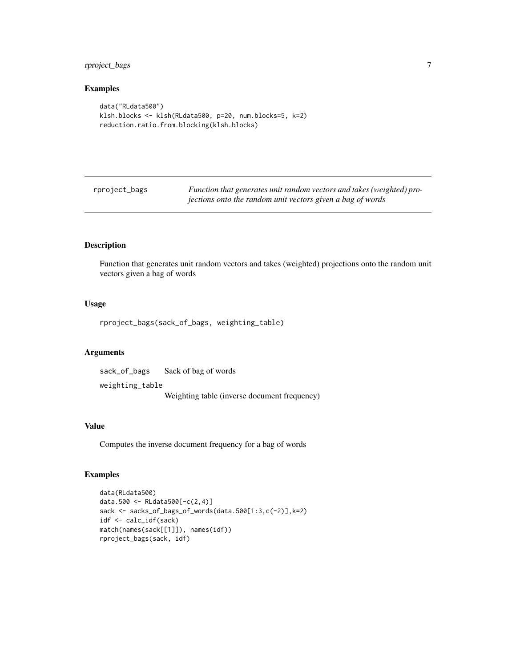## <span id="page-6-0"></span>rproject\_bags 7

#### Examples

```
data("RLdata500")
klsh.blocks <- klsh(RLdata500, p=20, num.blocks=5, k=2)
reduction.ratio.from.blocking(klsh.blocks)
```
rproject\_bags *Function that generates unit random vectors and takes (weighted) projections onto the random unit vectors given a bag of words*

## Description

Function that generates unit random vectors and takes (weighted) projections onto the random unit vectors given a bag of words

#### Usage

rproject\_bags(sack\_of\_bags, weighting\_table)

## Arguments

sack\_of\_bags Sack of bag of words weighting\_table Weighting table (inverse document frequency)

#### Value

Computes the inverse document frequency for a bag of words

#### Examples

```
data(RLdata500)
data.500 <- RLdata500[-c(2,4)]
sack <- sacks_of_bags_of_words(data.500[1:3,c(-2)],k=2)
idf <- calc_idf(sack)
match(names(sack[[1]]), names(idf))
rproject_bags(sack, idf)
```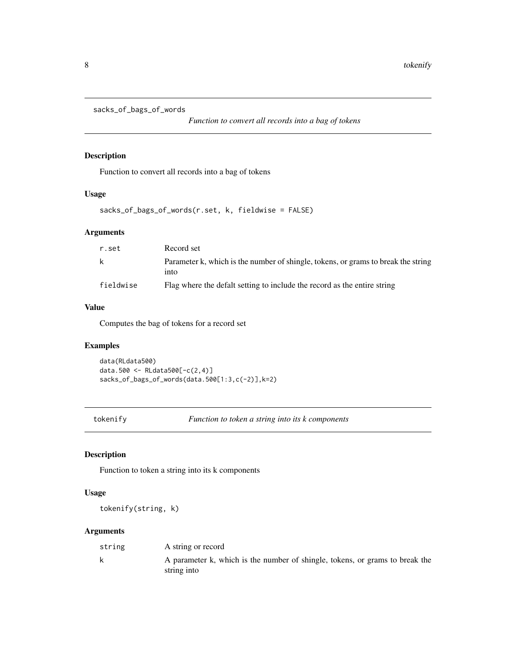```
sacks_of_bags_of_words
```
*Function to convert all records into a bag of tokens*

## Description

Function to convert all records into a bag of tokens

## Usage

sacks\_of\_bags\_of\_words(r.set, k, fieldwise = FALSE)

#### Arguments

| r.set     | Record set                                                                                |
|-----------|-------------------------------------------------------------------------------------------|
| k         | Parameter k, which is the number of shingle, tokens, or grams to break the string<br>into |
| fieldwise | Flag where the defalt setting to include the record as the entire string                  |

## Value

Computes the bag of tokens for a record set

#### Examples

data(RLdata500) data.500 <- RLdata500[-c(2,4)] sacks\_of\_bags\_of\_words(data.500[1:3,c(-2)],k=2)

tokenify *Function to token a string into its k components*

## Description

Function to token a string into its k components

#### Usage

tokenify(string, k)

#### Arguments

| string | A string or record                                                                          |
|--------|---------------------------------------------------------------------------------------------|
| k      | A parameter k, which is the number of shingle, tokens, or grams to break the<br>string into |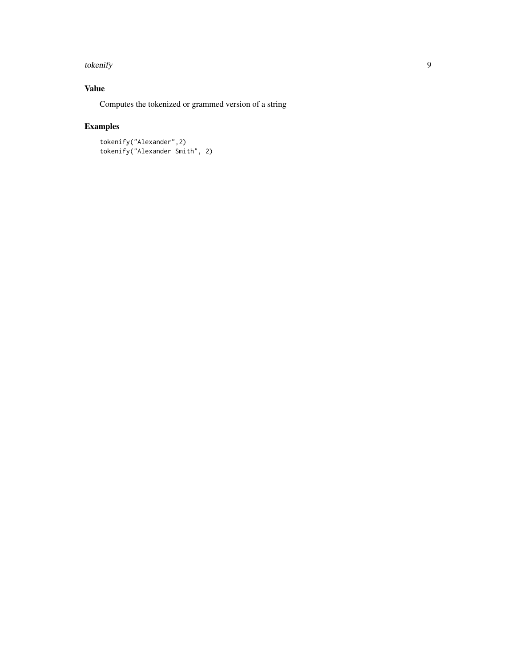#### tokenify the state of the state of the state of the state of the state of the state of the state of the state o

## Value

Computes the tokenized or grammed version of a string

## Examples

tokenify("Alexander",2) tokenify("Alexander Smith", 2)